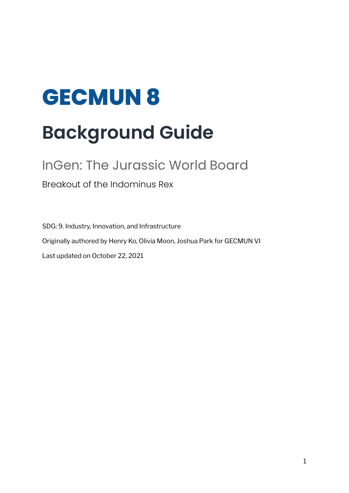# **GECMUN 8 Background Guide**

# InGen: The Jurassic World Board

Breakout of the Indominus Rex

SDG: 9. Industry, Innovation, and Infrastructure Originally authored by Henry Ko, Olivia Moon, Joshua Park for GECMUN VI Last updated on October 22, 2021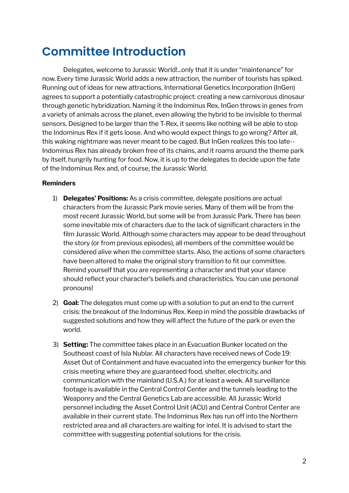### **Committee Introduction**

Delegates, welcome to Jurassic World!...only that it is under "maintenance" for now. Every time Jurassic World adds a new attraction, the number of tourists has spiked. Running out of ideas for new attractions, International Genetics Incorporation (InGen) agrees to support a potentially catastrophic project: creating a new carnivorous dinosaur through genetic hybridization. Naming it the Indominus Rex, InGen throws in genes from a variety of animals across the planet, even allowing the hybrid to be invisible to thermal sensors. Designed to be larger than the T-Rex, it seems like nothing will be able to stop the Indominus Rex if it gets loose. And who would expect things to go wrong? After all, this waking nightmare was never meant to be caged. But InGen realizes this too late-- Indominus Rex has already broken free of its chains, and it roams around the theme park by itself, hungrily hunting for food. Now, it is up to the delegates to decide upon the fate of the Indominus Rex and, of course, the Jurassic World.

#### **Reminders**

- 1) **Delegates' Positions:** As a crisis committee, delegate positions are actual characters from the Jurassic Park movie series. Many of them will be from the most recent Jurassic World, but some will be from Jurassic Park. There has been some inevitable mix of characters due to the lack of significant characters in the film Jurassic World. Although some characters may appear to be dead throughout the story (or from previous episodes), all members of the committee would be considered alive when the committee starts. Also, the actions of some characters have been altered to make the original story transition to fit our committee. Remind yourself that you are representing a character and that your stance should reflect your character's beliefs and characteristics. You can use personal pronouns!
- 2) **Goal:** The delegates must come up with a solution to put an end to the current crisis: the breakout of the Indominus Rex. Keep in mind the possible drawbacks of suggested solutions and how they will affect the future of the park or even the world.
- 3) **Setting:** The committee takes place in an Evacuation Bunker located on the Southeast coast of Isla Nublar. All characters have received news of Code 19: Asset Out of Containment and have evacuated into the emergency bunker for this crisis meeting where they are guaranteed food, shelter, electricity, and communication with the mainland (U.S.A.) for at least a week. All surveillance footage is available in the Central Control Center and the tunnels leading to the Weaponry and the Central Genetics Lab are accessible. All Jurassic World personnel including the Asset Control Unit (ACU) and Central Control Center are available in their current state. The Indominus Rex has run off into the Northern restricted area and all characters are waiting for intel. It is advised to start the committee with suggesting potential solutions for the crisis.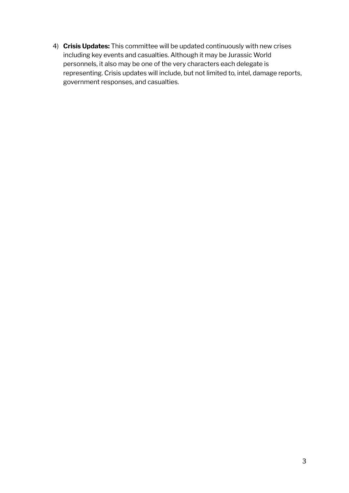4) **Crisis Updates:** This committee will be updated continuously with new crises including key events and casualties. Although it may be Jurassic World personnels, it also may be one of the very characters each delegate is representing. Crisis updates will include, but not limited to, intel, damage reports, government responses, and casualties.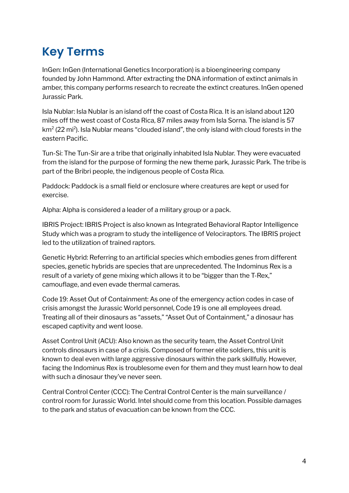# **Key Terms**

InGen: InGen (International Genetics Incorporation) is a bioengineering company founded by John Hammond. After extracting the DNA information of extinct animals in amber, this company performs research to recreate the extinct creatures. InGen opened Jurassic Park.

Isla Nublar: Isla Nublar is an island off the coast of Costa Rica. It is an island about 120 miles off the west coast of Costa Rica, 87 miles away from Isla Sorna. The island is 57 km $2$  (22 mi $^2$ ). Isla Nublar means "clouded island", the only island with cloud forests in the eastern Pacific.

Tun-Si: The Tun-Sir are a tribe that originally inhabited Isla Nublar. They were evacuated from the island for the purpose of forming the new theme park, Jurassic Park. The tribe is part of the Bribri people, the indigenous people of Costa Rica.

Paddock: Paddock is a small field or enclosure where creatures are kept or used for exercise.

Alpha: Alpha is considered a leader of a military group or a pack.

IBRIS Project: IBRIS Project is also known as Integrated Behavioral Raptor Intelligence Study which was a program to study the intelligence of Velociraptors. The IBRIS project led to the utilization of trained raptors.

Genetic Hybrid: Referring to an artificial species which embodies genes from different species, genetic hybrids are species that are unprecedented. The Indominus Rex is a result of a variety of gene mixing which allows it to be "bigger than the T-Rex," camouflage, and even evade thermal cameras.

Code 19: Asset Out of Containment: As one of the emergency action codes in case of crisis amongst the Jurassic World personnel, Code 19 is one all employees dread. Treating all of their dinosaurs as "assets," "Asset Out of Containment," a dinosaur has escaped captivity and went loose.

Asset Control Unit (ACU): Also known as the security team, the Asset Control Unit controls dinosaurs in case of a crisis. Composed of former elite soldiers, this unit is known to deal even with large aggressive dinosaurs within the park skillfully. However, facing the Indominus Rex is troublesome even for them and they must learn how to deal with such a dinosaur they've never seen.

Central Control Center (CCC): The Central Control Center is the main surveillance / control room for Jurassic World. Intel should come from this location. Possible damages to the park and status of evacuation can be known from the CCC.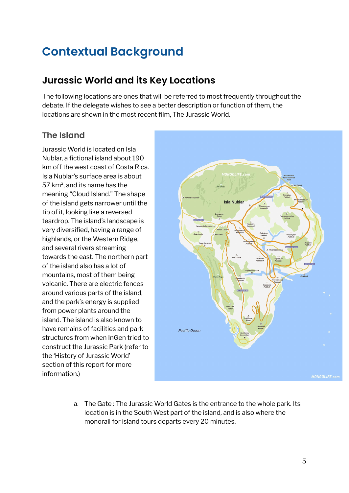## **Contextual Background**

### **Jurassic World and its Key Locations**

The following locations are ones that will be referred to most frequently throughout the debate. If the delegate wishes to see a better description or function of them, the locations are shown in the most recent film, The Jurassic World.

### **The Island**

Jurassic World is located on Isla Nublar, a fictional island about 190 km off the west coast of Costa Rica. Isla Nublar's surface area is about 57 km<sup>2</sup>, and its name has the meaning "Cloud Island." The shape of the island gets narrower until the tip of it, looking like a reversed teardrop. The island's landscape is very diversified, having a range of highlands, or the Western Ridge, and several rivers streaming towards the east. The northern part of the island also has a lot of mountains, most of them being volcanic. There are electric fences around various parts of the island, and the park's energy is supplied from power plants around the island. The island is also known to have remains of facilities and park structures from when InGen tried to construct the Jurassic Park (refer to the 'History of Jurassic World' section of this report for more information.)



a. The Gate : The Jurassic World Gates is the entrance to the whole park. Its location is in the South West part of the island, and is also where the monorail for island tours departs every 20 minutes.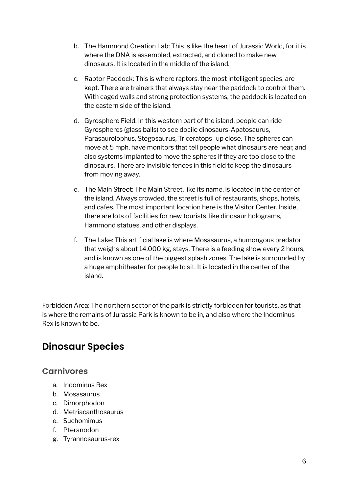- b. The Hammond Creation Lab: This is like the heart of Jurassic World, for it is where the DNA is assembled, extracted, and cloned to make new dinosaurs. It is located in the middle of the island.
- c. Raptor Paddock: This is where raptors, the most intelligent species, are kept. There are trainers that always stay near the paddock to control them. With caged walls and strong protection systems, the paddock is located on the eastern side of the island.
- d. Gyrosphere Field: In this western part of the island, people can ride Gyrospheres (glass balls) to see docile dinosaurs-Apatosaurus, Parasaurolophus, Stegosaurus, Triceratops- up close. The spheres can move at 5 mph, have monitors that tell people what dinosaurs are near, and also systems implanted to move the spheres if they are too close to the dinosaurs. There are invisible fences in this field to keep the dinosaurs from moving away.
- e. The Main Street: The Main Street, like its name, is located in the center of the island. Always crowded, the street is full of restaurants, shops, hotels, and cafes. The most important location here is the Visitor Center. Inside, there are lots of facilities for new tourists, like dinosaur holograms, Hammond statues, and other displays.
- f. The Lake: This artificial lake is where Mosasaurus, a humongous predator that weighs about 14,000 kg, stays. There is a feeding show every 2 hours, and is known as one of the biggest splash zones. The lake is surrounded by a huge amphitheater for people to sit. It is located in the center of the island.

Forbidden Area: The northern sector of the park is strictly forbidden for tourists, as that is where the remains of Jurassic Park is known to be in, and also where the Indominus Rex is known to be.

### **Dinosaur Species**

#### **Carnivores**

- a. Indominus Rex
- b. Mosasaurus
- c. Dimorphodon
- d. Metriacanthosaurus
- e. Suchomimus
- f. Pteranodon
- g. Tyrannosaurus-rex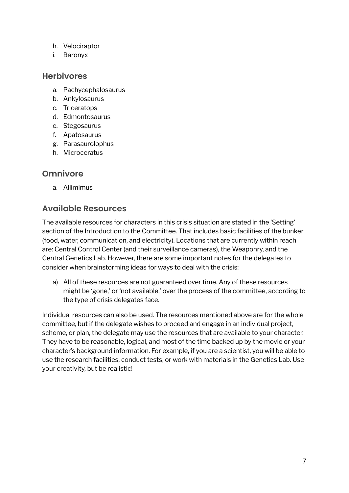- h. Velociraptor
- i. Baronyx

#### **Herbivores**

- a. Pachycephalosaurus
- b. Ankylosaurus
- c. Triceratops
- d. Edmontosaurus
- e. Stegosaurus
- f. Apatosaurus
- g. Parasaurolophus
- h. Microceratus

#### **Omnivore**

a. Allimimus

#### **Available Resources**

The available resources for characters in this crisis situation are stated in the 'Setting' section of the Introduction to the Committee. That includes basic facilities of the bunker (food, water, communication, and electricity). Locations that are currently within reach are: Central Control Center (and their surveillance cameras), the Weaponry, and the Central Genetics Lab. However, there are some important notes for the delegates to consider when brainstorming ideas for ways to deal with the crisis:

a) All of these resources are not guaranteed over time. Any of these resources might be 'gone,' or 'not available,' over the process of the committee, according to the type of crisis delegates face.

Individual resources can also be used. The resources mentioned above are for the whole committee, but if the delegate wishes to proceed and engage in an individual project, scheme, or plan, the delegate may use the resources that are available to your character. They have to be reasonable, logical, and most of the time backed up by the movie or your character's background information. For example, if you are a scientist, you will be able to use the research facilities, conduct tests, or work with materials in the Genetics Lab. Use your creativity, but be realistic!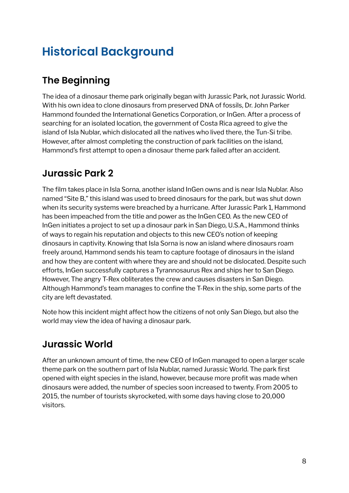# **Historical Background**

### **The Beginning**

The idea of a dinosaur theme park originally began with Jurassic Park, not Jurassic World. With his own idea to clone dinosaurs from preserved DNA of fossils, Dr. John Parker Hammond founded the International Genetics Corporation, or InGen. After a process of searching for an isolated location, the government of Costa Rica agreed to give the island of Isla Nublar, which dislocated all the natives who lived there, the Tun-Si tribe. However, after almost completing the construction of park facilities on the island, Hammond's first attempt to open a dinosaur theme park failed after an accident.

### **Jurassic Park 2**

The film takes place in Isla Sorna, another island InGen owns and is near Isla Nublar. Also named "Site B," this island was used to breed dinosaurs for the park, but was shut down when its security systems were breached by a hurricane. After Jurassic Park 1, Hammond has been impeached from the title and power as the InGen CEO. As the new CEO of InGen initiates a project to set up a dinosaur park in San Diego, U.S.A., Hammond thinks of ways to regain his reputation and objects to this new CEO's notion of keeping dinosaurs in captivity. Knowing that Isla Sorna is now an island where dinosaurs roam freely around, Hammond sends his team to capture footage of dinosaurs in the island and how they are content with where they are and should not be dislocated. Despite such efforts, InGen successfully captures a Tyrannosaurus Rex and ships her to San Diego. However, The angry T-Rex obliterates the crew and causes disasters in San Diego. Although Hammond's team manages to confine the T-Rex in the ship, some parts of the city are left devastated.

Note how this incident might affect how the citizens of not only San Diego, but also the world may view the idea of having a dinosaur park.

### **Jurassic World**

After an unknown amount of time, the new CEO of InGen managed to open a larger scale theme park on the southern part of Isla Nublar, named Jurassic World. The park first opened with eight species in the island, however, because more profit was made when dinosaurs were added, the number of species soon increased to twenty. From 2005 to 2015, the number of tourists skyrocketed, with some days having close to 20,000 visitors.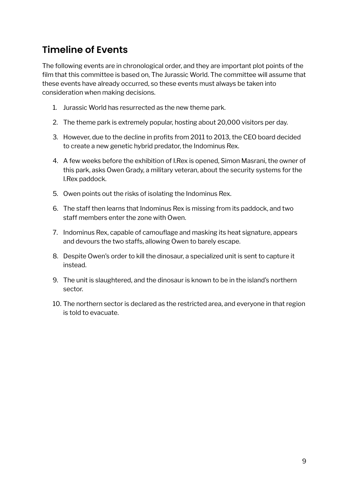### **Timeline of Events**

The following events are in chronological order, and they are important plot points of the film that this committee is based on, The Jurassic World. The committee will assume that these events have already occurred, so these events must always be taken into consideration when making decisions.

- 1. Jurassic World has resurrected as the new theme park.
- 2. The theme park is extremely popular, hosting about 20,000 visitors per day.
- 3. However, due to the decline in profits from 2011 to 2013, the CEO board decided to create a new genetic hybrid predator, the Indominus Rex.
- 4. A few weeks before the exhibition of I.Rex is opened, Simon Masrani, the owner of this park, asks Owen Grady, a military veteran, about the security systems for the I.Rex paddock.
- 5. Owen points out the risks of isolating the Indominus Rex.
- 6. The staff then learns that Indominus Rex is missing from its paddock, and two staff members enter the zone with Owen.
- 7. Indominus Rex, capable of camouflage and masking its heat signature, appears and devours the two staffs, allowing Owen to barely escape.
- 8. Despite Owen's order to kill the dinosaur, a specialized unit is sent to capture it instead.
- 9. The unit is slaughtered, and the dinosaur is known to be in the island's northern sector.
- 10. The northern sector is declared as the restricted area, and everyone in that region is told to evacuate.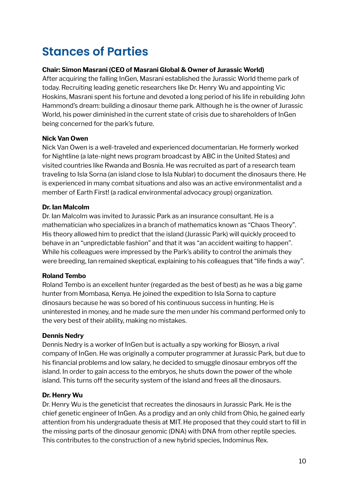# **Stances of Parties**

#### **Chair: Simon Masrani (CEO of Masrani Global & Owner of Jurassic World)**

After acquiring the falling InGen, Masrani established the Jurassic World theme park of today. Recruiting leading genetic researchers like Dr. Henry Wu and appointing Vic Hoskins, Masrani spent his fortune and devoted a long period of his life in rebuilding John Hammond's dream: building a dinosaur theme park. Although he is the owner of Jurassic World, his power diminished in the current state of crisis due to shareholders of InGen being concerned for the park's future.

#### **Nick Van Owen**

Nick Van Owen is a well-traveled and experienced documentarian. He formerly worked for Nightline (a late-night news program broadcast by ABC in the United States) and visited countries like Rwanda and Bosnia. He was recruited as part of a research team traveling to Isla Sorna (an island close to Isla Nublar) to document the dinosaurs there. He is experienced in many combat situations and also was an active environmentalist and a member of Earth First! (a radical environmental advocacy group) organization.

#### **Dr. Ian Malcolm**

Dr. Ian Malcolm was invited to Jurassic Park as an insurance consultant. He is a mathematician who specializes in a branch of mathematics known as "Chaos Theory". His theory allowed him to predict that the island (Jurassic Park) will quickly proceed to behave in an "unpredictable fashion" and that it was "an accident waiting to happen". While his colleagues were impressed by the Park's ability to control the animals they were breeding, Ian remained skeptical, explaining to his colleagues that "life finds a way".

#### **Roland Tembo**

Roland Tembo is an excellent hunter (regarded as the best of best) as he was a big game hunter from Mombasa, Kenya. He joined the expedition to Isla Sorna to capture dinosaurs because he was so bored of his continuous success in hunting. He is uninterested in money, and he made sure the men under his command performed only to the very best of their ability, making no mistakes.

#### **Dennis Nedry**

Dennis Nedry is a worker of InGen but is actually a spy working for Biosyn, a rival company of InGen. He was originally a computer programmer at Jurassic Park, but due to his financial problems and low salary, he decided to smuggle dinosaur embryos off the island. In order to gain access to the embryos, he shuts down the power of the whole island. This turns off the security system of the island and frees all the dinosaurs.

#### **Dr. Henry Wu**

Dr. Henry Wu is the geneticist that recreates the dinosaurs in Jurassic Park. He is the chief genetic engineer of InGen. As a prodigy and an only child from Ohio, he gained early attention from his undergraduate thesis at MIT. He proposed that they could start to fill in the missing parts of the dinosaur genomic (DNA) with DNA from other reptile species. This contributes to the construction of a new hybrid species, Indominus Rex.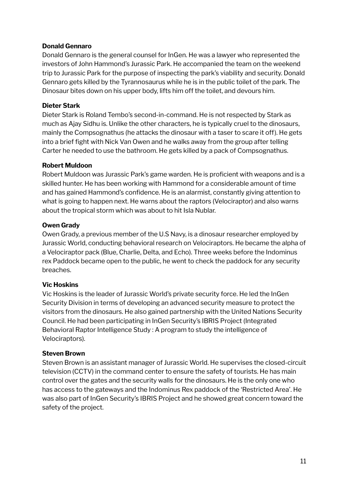#### **Donald Gennaro**

Donald Gennaro is the general counsel for InGen. He was a lawyer who represented the investors of John Hammond's Jurassic Park. He accompanied the team on the weekend trip to Jurassic Park for the purpose of inspecting the park's viability and security. Donald Gennaro gets killed by the Tyrannosaurus while he is in the public toilet of the park. The Dinosaur bites down on his upper body, lifts him off the toilet, and devours him.

#### **Dieter Stark**

Dieter Stark is Roland Tembo's second-in-command. He is not respected by Stark as much as Ajay Sidhu is. Unlike the other characters, he is typically cruel to the dinosaurs, mainly the Compsognathus (he attacks the dinosaur with a taser to scare it off). He gets into a brief fight with Nick Van Owen and he walks away from the group after telling Carter he needed to use the bathroom. He gets killed by a pack of Compsognathus.

#### **Robert Muldoon**

Robert Muldoon was Jurassic Park's game warden. He is proficient with weapons and is a skilled hunter. He has been working with Hammond for a considerable amount of time and has gained Hammond's confidence. He is an alarmist, constantly giving attention to what is going to happen next. He warns about the raptors (Velociraptor) and also warns about the tropical storm which was about to hit Isla Nublar.

#### **Owen Grady**

Owen Grady, a previous member of the U.S Navy, is a dinosaur researcher employed by Jurassic World, conducting behavioral research on Velociraptors. He became the alpha of a Velociraptor pack (Blue, Charlie, Delta, and Echo). Three weeks before the Indominus rex Paddock became open to the public, he went to check the paddock for any security breaches.

#### **Vic Hoskins**

Vic Hoskins is the leader of Jurassic World's private security force. He led the InGen Security Division in terms of developing an advanced security measure to protect the visitors from the dinosaurs. He also gained partnership with the United Nations Security Council. He had been participating in InGen Security's IBRIS Project (Integrated Behavioral Raptor Intelligence Study : A program to study the intelligence of Velociraptors).

#### **Steven Brown**

Steven Brown is an assistant manager of Jurassic World. He supervises the closed-circuit television (CCTV) in the command center to ensure the safety of tourists. He has main control over the gates and the security walls for the dinosaurs. He is the only one who has access to the gateways and the Indominus Rex paddock of the 'Restricted Area'. He was also part of InGen Security's IBRIS Project and he showed great concern toward the safety of the project.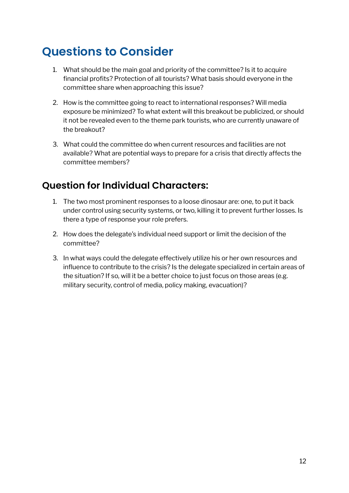# **Questions to Consider**

- 1. What should be the main goal and priority of the committee? Is it to acquire financial profits? Protection of all tourists? What basis should everyone in the committee share when approaching this issue?
- 2. How is the committee going to react to international responses? Will media exposure be minimized? To what extent will this breakout be publicized, or should it not be revealed even to the theme park tourists, who are currently unaware of the breakout?
- 3. What could the committee do when current resources and facilities are not available? What are potential ways to prepare for a crisis that directly affects the committee members?

### **Question for Individual Characters:**

- 1. The two most prominent responses to a loose dinosaur are: one, to put it back under control using security systems, or two, killing it to prevent further losses. Is there a type of response your role prefers.
- 2. How does the delegate's individual need support or limit the decision of the committee?
- 3. In what ways could the delegate effectively utilize his or her own resources and influence to contribute to the crisis? Is the delegate specialized in certain areas of the situation? If so, will it be a better choice to just focus on those areas (e.g. military security, control of media, policy making, evacuation)?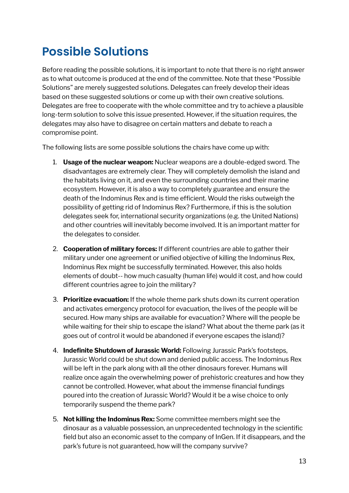# **Possible Solutions**

Before reading the possible solutions, it is important to note that there is no right answer as to what outcome is produced at the end of the committee. Note that these "Possible Solutions" are merely suggested solutions. Delegates can freely develop their ideas based on these suggested solutions or come up with their own creative solutions. Delegates are free to cooperate with the whole committee and try to achieve a plausible long-term solution to solve this issue presented. However, if the situation requires, the delegates may also have to disagree on certain matters and debate to reach a compromise point.

The following lists are some possible solutions the chairs have come up with:

- 1. **Usage of the nuclear weapon:** Nuclear weapons are a double-edged sword. The disadvantages are extremely clear. They will completely demolish the island and the habitats living on it, and even the surrounding countries and their marine ecosystem. However, it is also a way to completely guarantee and ensure the death of the Indominus Rex and is time efficient. Would the risks outweigh the possibility of getting rid of Indominus Rex? Furthermore, if this is the solution delegates seek for, international security organizations (e.g. the United Nations) and other countries will inevitably become involved. It is an important matter for the delegates to consider.
- 2. **Cooperation of military forces:** If different countries are able to gather their military under one agreement or unified objective of killing the Indominus Rex, Indominus Rex might be successfully terminated. However, this also holds elements of doubt-- how much casualty (human life) would it cost, and how could different countries agree to join the military?
- 3. **Prioritize evacuation:** If the whole theme park shuts down its current operation and activates emergency protocol for evacuation, the lives of the people will be secured. How many ships are available for evacuation? Where will the people be while waiting for their ship to escape the island? What about the theme park (as it goes out of control it would be abandoned if everyone escapes the island)?
- 4. **Indefinite Shutdown of Jurassic World:** Following Jurassic Park's footsteps, Jurassic World could be shut down and denied public access. The Indominus Rex will be left in the park along with all the other dinosaurs forever. Humans will realize once again the overwhelming power of prehistoric creatures and how they cannot be controlled. However, what about the immense financial fundings poured into the creation of Jurassic World? Would it be a wise choice to only temporarily suspend the theme park?
- 5. **Not killing the Indominus Rex:** Some committee members might see the dinosaur as a valuable possession, an unprecedented technology in the scientific field but also an economic asset to the company of InGen. If it disappears, and the park's future is not guaranteed, how will the company survive?